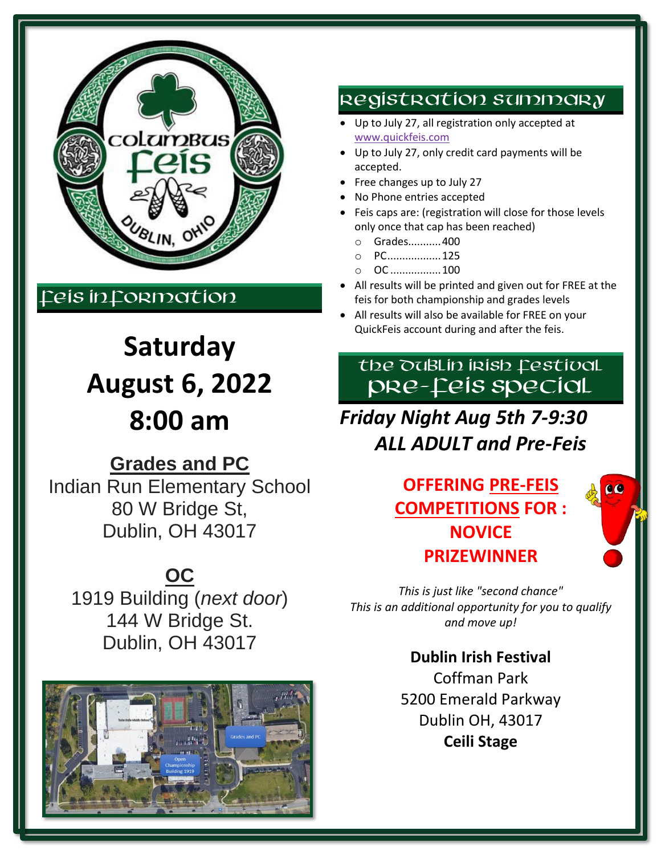

# Feis in Formation

# **Saturday August 6, 2022 8:00 am**

# **Grades and PC**

Indian Run Elementary School 80 W Bridge St, Dublin, OH 43017

# **OC**

1919 Building (*next door*) 144 W Bridge St. Dublin, OH 43017



## Registration summary

- Up to July 27, all registration only accepted at [www.quickfeis.com](http://www.quickfeis.com/)
- Up to July 27, only credit card payments will be accepted.
- Free changes up to July 27
- No Phone entries accepted
- Feis caps are: (registration will close for those levels only once that cap has been reached)
	- o Grades...........400
	- o PC..................125
	- o OC .................100
- All results will be printed and given out for FREE at the feis for both championship and grades levels
- All results will also be available for FREE on your QuickFeis account during and after the feis.

# the DuBLIn Irish festival PRE-FEIS SPECIAL

*Friday Night Aug 5th 7-9:30 ALL ADULT and Pre-Feis*

# **OFFERING PRE-FEIS COMPETITIONS FOR : NOVICE PRIZEWINNER**

66

*This is just like "second chance" This is an additional opportunity for you to qualify and move up!*

> **Dublin Irish Festival** Coffman Park 5200 Emerald Parkway Dublin OH, 43017 **Ceili Stage**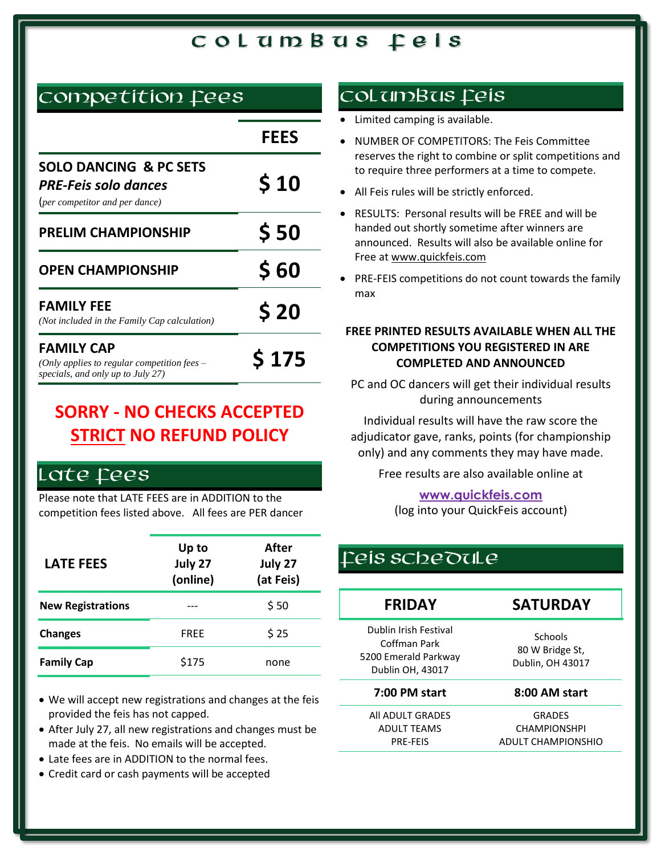### competition fees

|                                                                                                         | <b>FEES</b>  |
|---------------------------------------------------------------------------------------------------------|--------------|
| <b>SOLO DANCING &amp; PC SETS</b><br><b>PRE-Feis solo dances</b><br>(per competitor and per dance)      | \$10         |
| <b>PRELIM CHAMPIONSHIP</b>                                                                              | \$50         |
| <b>OPEN CHAMPIONSHIP</b>                                                                                | <b>S 60</b>  |
| <b>FAMILY FEE</b><br>(Not included in the Family Cap calculation)                                       | \$20         |
| <b>FAMILY CAP</b><br>(Only applies to regular competition fees $-$<br>specials, and only up to July 27) | <b>S 175</b> |

# **SORRY - NO CHECKS ACCEPTED STRICT NO REFUND POLICY**

### Late fees

Please note that LATE FEES are in ADDITION to the competition fees listed above. All fees are PER dancer

| <b>LATE FEES</b>         | Up to<br>July 27<br>(online) | After<br>July 27<br>(at Feis) |
|--------------------------|------------------------------|-------------------------------|
| <b>New Registrations</b> |                              | \$50                          |
| <b>Changes</b>           | <b>FREE</b>                  | \$25                          |
| <b>Family Cap</b>        | \$175                        | none                          |

- We will accept new registrations and changes at the feis provided the feis has not capped.
- After July 27, all new registrations and changes must be made at the feis. No emails will be accepted.
- Late fees are in ADDITION to the normal fees.
- Credit card or cash payments will be accepted

### Col umBus feis

- Limited camping is available.
- NUMBER OF COMPETITORS: The Feis Committee reserves the right to combine or split competitions and to require three performers at a time to compete.
- All Feis rules will be strictly enforced.
- RESULTS: Personal results will be FREE and will be handed out shortly sometime after winners are announced. Results will also be available online for Free a[t www.quickfeis.com](http://www.quickfeis.com/)
- PRE-FEIS competitions do not count towards the family max

#### **FREE PRINTED RESULTS AVAILABLE WHEN ALL THE COMPETITIONS YOU REGISTERED IN ARE COMPLETED AND ANNOUNCED**

PC and OC dancers will get their individual results during announcements

Individual results will have the raw score the adjudicator gave, ranks, points (for championship only) and any comments they may have made.

Free results are also available online at

**[www.quickfeis.com](http://www.quickfeis.com/)**

(log into your QuickFeis account)

### Feis schedule

| <b>FRIDAY</b>                                                                     | <b>SATURDAY</b>                                |
|-----------------------------------------------------------------------------------|------------------------------------------------|
| Dublin Irish Festival<br>Coffman Park<br>5200 Emerald Parkway<br>Dublin OH, 43017 | Schools<br>80 W Bridge St,<br>Dublin, OH 43017 |
| 7:00 PM start                                                                     | 8:00 AM start                                  |
| All ADULT GRADES                                                                  | <b>GRADES</b>                                  |
| <b>ADULT TEAMS</b>                                                                | <b>CHAMPIONSHPI</b>                            |
| <b>PRF-FFIS</b>                                                                   | ADULT CHAMPIONSHIO                             |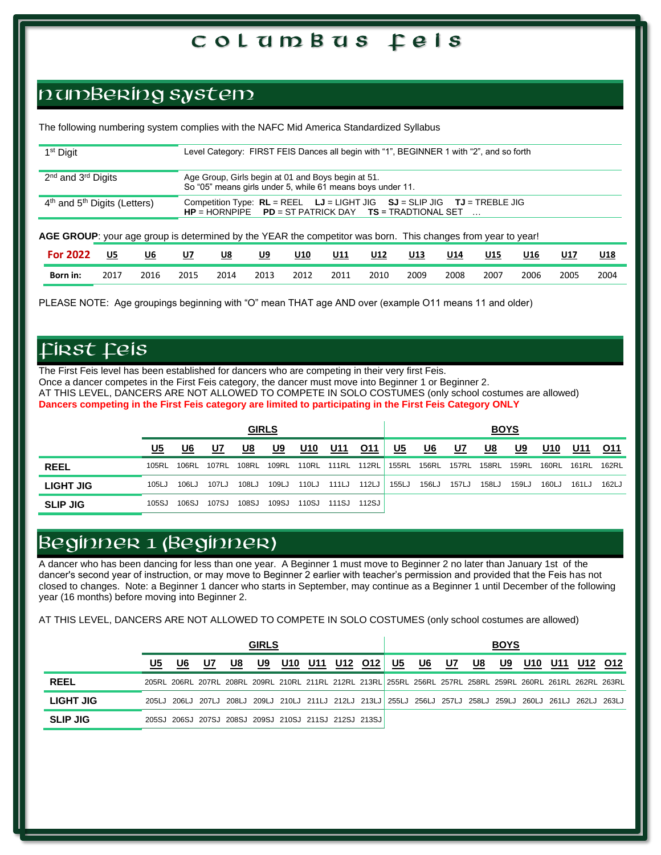## numBering system

The following numbering system complies with the NAFC Mid America Standardized Syllabus

| 1 <sup>st</sup> Digit                                                                                                                                                                                                                                   |      |      |           |           |           |                                                    |      | Level Category: FIRST FEIS Dances all begin with "1", BEGINNER 1 with "2", and so forth |            |            |      |      |      |            |
|---------------------------------------------------------------------------------------------------------------------------------------------------------------------------------------------------------------------------------------------------------|------|------|-----------|-----------|-----------|----------------------------------------------------|------|-----------------------------------------------------------------------------------------|------------|------------|------|------|------|------------|
| 2 <sup>nd</sup> and 3 <sup>rd</sup> Digits                                                                                                                                                                                                              |      |      |           |           |           | Age Group, Girls begin at 01 and Boys begin at 51. |      |                                                                                         |            |            |      |      |      |            |
| So "05" means girls under 5, while 61 means boys under 11.<br>$4th$ and $5th$ Digits (Letters)<br>Competition Type: $RL = REEL$ $LJ = LIGHT JIG$ $SJ = SLIP JIG$<br>$TJ = TREBLE JIG$<br>$HP = HORNPIPE$ $PD = ST PARTRICK$ $DAY$ $TS = TRADTIONAL SET$ |      |      |           |           |           |                                                    |      |                                                                                         |            |            |      |      |      |            |
| AGE GROUP: your age group is determined by the YEAR the competitor was born. This changes from year to year!                                                                                                                                            |      |      |           |           |           |                                                    |      |                                                                                         |            |            |      |      |      |            |
| <b>For 2022</b>                                                                                                                                                                                                                                         | U5   | U6   | <u>U7</u> | <u>U8</u> | <u>U9</u> | U10                                                | U11  | U12                                                                                     | <u>U13</u> | <u>U14</u> | U15  | U16  | U17  | <u>U18</u> |
| Born in:                                                                                                                                                                                                                                                | 2017 | 2016 | 2015      | 2014      | 2013      | 2012                                               | 2011 | 2010                                                                                    | 2009       | 2008       | 2007 | 2006 | 2005 | 2004       |

PLEASE NOTE: Age groupings beginning with "O" mean THAT age AND over (example O11 means 11 and older)

#### FIRST FEIS

The First Feis level has been established for dancers who are competing in their very first Feis. Once a dancer competes in the First Feis category, the dancer must move into Beginner 1 or Beginner 2. AT THIS LEVEL, DANCERS ARE NOT ALLOWED TO COMPETE IN SOLO COSTUMES (only school costumes are allowed) **Dancers competing in the First Feis category are limited to participating in the First Feis Category ONLY**

|                 |       |       |             | <b>GIRLS</b> |       |       |                   |       |           |       |       | <b>BOYS</b> |           |       |             |       |
|-----------------|-------|-------|-------------|--------------|-------|-------|-------------------|-------|-----------|-------|-------|-------------|-----------|-------|-------------|-------|
|                 | U5    | U6    | U7          | U8           | U9    | U10   | U11               | 011   | <u>U5</u> | U6    | U7    | U8          | <u>U9</u> | U10   | U11         | 011   |
| <b>REEL</b>     | 105RL | 106RL | 107RL 108RL |              | 109RL |       | 110RL 111RL 112RL |       | 155RL     | 156RL | 157RL | 158RL       | 159RL     | 160RL | 161RL 162RL |       |
| LIGHT JIG       | 105LJ | 106LJ | 107LJ       | 108LJ        | 109LJ | 110LJ | 111LJ             | 112LJ | 155LJ     | 156LJ | 157LJ | 158LJ       | 159LJ     | 160LJ | 161LJ       | 162LJ |
| <b>SLIP JIG</b> | 105SJ | 106SJ | 107SJ       | 108SJ        | 109SJ | 110SJ | 111SJ             | 112SJ |           |       |       |             |           |       |             |       |

### BEGINNER 1 (BEGINNER)

A dancer who has been dancing for less than one year. A Beginner 1 must move to Beginner 2 no later than January 1st of the dancer's second year of instruction, or may move to Beginner 2 earlier with teacher's permission and provided that the Feis has not closed to changes. Note: a Beginner 1 dancer who starts in September, may continue as a Beginner 1 until December of the following year (16 months) before moving into Beginner 2.

AT THIS LEVEL, DANCERS ARE NOT ALLOWED TO COMPETE IN SOLO COSTUMES (only school costumes are allowed)

|                 |    |                                                                                                             |    |    | <b>GIRLS</b> |     |     |         |    |    |    |    | <b>BOYS</b> |     |     |         |
|-----------------|----|-------------------------------------------------------------------------------------------------------------|----|----|--------------|-----|-----|---------|----|----|----|----|-------------|-----|-----|---------|
|                 | U5 | U6                                                                                                          | U7 | U8 | U9           | U10 | U11 | U12 012 | U5 | U6 | U7 | U8 | U9          | U10 | U11 | U12 012 |
| <b>REEL</b>     |    | 205RL 206RL 207RL 208RL 209RL 210RL 211RL 212RL 213RL 255RL 256RL 257RL 258RL 259RL 260RL 261RL 262RL 263RL |    |    |              |     |     |         |    |    |    |    |             |     |     |         |
| LIGHT JIG       |    | 205LJ 206LJ 207LJ 208LJ 209LJ 210LJ 211LJ 212LJ 213LJ 255LJ 256LJ 257LJ 258LJ 259LJ 260LJ 261LJ 262LJ 263LJ |    |    |              |     |     |         |    |    |    |    |             |     |     |         |
| <b>SLIP JIG</b> |    | 205SJ 206SJ 207SJ 208SJ 209SJ 210SJ 211SJ 212SJ 213SJ                                                       |    |    |              |     |     |         |    |    |    |    |             |     |     |         |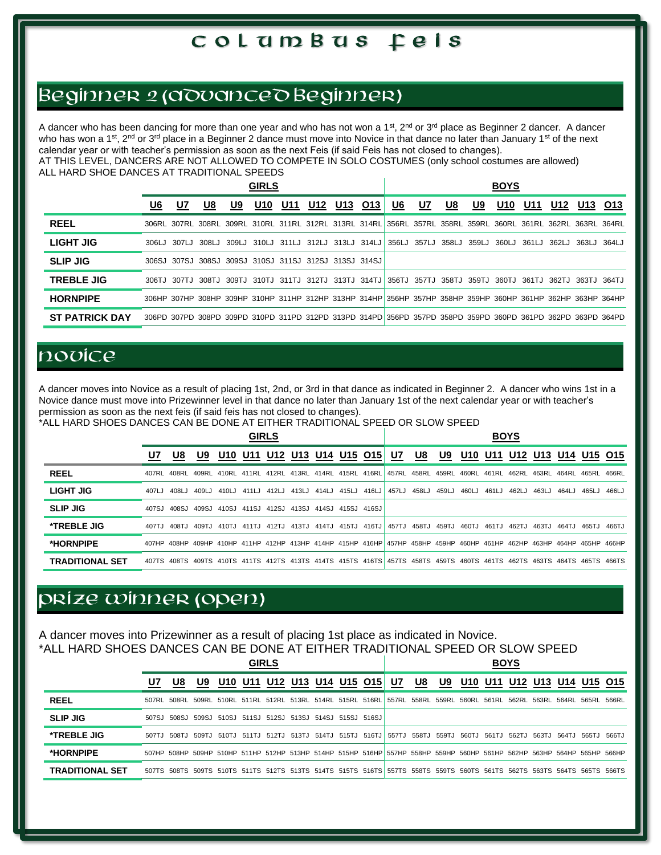### BEGINNER 2 (ADVANCED BEGINNER)

A dancer who has been dancing for more than one year and who has not won a 1<sup>st</sup>, 2<sup>nd</sup> or 3<sup>rd</sup> place as Beginner 2 dancer. A dancer who has won a 1<sup>st</sup>, 2<sup>nd</sup> or 3<sup>rd</sup> place in a Beginner 2 dance must move into Novice in that dance no later than January 1<sup>st</sup> of the next calendar year or with teacher's permission as soon as the next Feis (if said Feis has not closed to changes).

AT THIS LEVEL, DANCERS ARE NOT ALLOWED TO COMPETE IN SOLO COSTUMES (only school costumes are allowed) ALL HARD SHOE DANCES AT TRADITIONAL SPEEDS

|                       |    |             |                                                       |    | <b>GIRLS</b>    |     |     |     |     |                                                                                                             |           |             |       | <b>BOYS</b> |     |       |             |                   |
|-----------------------|----|-------------|-------------------------------------------------------|----|-----------------|-----|-----|-----|-----|-------------------------------------------------------------------------------------------------------------|-----------|-------------|-------|-------------|-----|-------|-------------|-------------------|
|                       | U6 | <u>U7</u>   | U8                                                    | U9 | U <sub>10</sub> | U11 | U12 | U13 | O13 | <u>U6</u>                                                                                                   | <u>U7</u> | <u>U8</u>   | U9    | U10         | U11 | U12   | U13         | O13               |
| <b>REEL</b>           |    |             |                                                       |    |                 |     |     |     |     | 306RL 307RL 308RL 309RL 310RL 311RL 312RL 313RL 314RL 356RL 357RL 358RL 359RL 360RL 361RL 362RL 363RL 364RL |           |             |       |             |     |       |             |                   |
| <b>LIGHT JIG</b>      |    | 306LJ 307LJ | 308LJ                                                 |    |                 |     |     |     |     | 309LJ 310LJ 311LJ 312LJ 313LJ 314LJ 356LJ                                                                   |           | 357LJ 358LJ | 359LJ | 360LJ 361LJ |     | 362LJ | 363LJ 364LJ |                   |
| <b>SLIP JIG</b>       |    |             | 306SJ 307SJ 308SJ 309SJ 310SJ 311SJ 312SJ 313SJ 314SJ |    |                 |     |     |     |     |                                                                                                             |           |             |       |             |     |       |             |                   |
| <b>TREBLE JIG</b>     |    | 306TJ 307TJ |                                                       |    |                 |     |     |     |     | 308TJ 309TJ 310TJ 311TJ 312TJ 313TJ 314TJ 356TJ 357TJ 358TJ 359TJ 360TJ 361TJ                               |           |             |       |             |     |       |             | 362TJ 363TJ 364TJ |
| <b>HORNPIPE</b>       |    |             |                                                       |    |                 |     |     |     |     | 306HP 307HP 308HP 309HP 310HP 311HP 312HP 313HP 314HP 356HP 357HP 358HP 359HP 360HP 361HP 362HP 363HP 364HP |           |             |       |             |     |       |             |                   |
| <b>ST PATRICK DAY</b> |    |             |                                                       |    |                 |     |     |     |     | 306PD 307PD 308PD 309PD 310PD 311PD 312PD 313PD 314PD 356PD 357PD 358PD 359PD 360PD 361PD 362PD 363PD 364PD |           |             |       |             |     |       |             |                   |

# **novice**

A dancer moves into Novice as a result of placing 1st, 2nd, or 3rd in that dance as indicated in Beginner 2. A dancer who wins 1st in a Novice dance must move into Prizewinner level in that dance no later than January 1st of the next calendar year or with teacher's permission as soon as the next feis (if said feis has not closed to changes).

\*ALL HARD SHOES DANCES CAN BE DONE AT EITHER TRADITIONAL SPEED OR SLOW SPEED

|                        |        |                                                                                                                         |       |     |             | <b>GIRLS</b> |                                           |  |                                     |                   |       |       |       | <b>BOYS</b> |                     |       |             |       |
|------------------------|--------|-------------------------------------------------------------------------------------------------------------------------|-------|-----|-------------|--------------|-------------------------------------------|--|-------------------------------------|-------------------|-------|-------|-------|-------------|---------------------|-------|-------------|-------|
|                        | U7     | U8                                                                                                                      | U9    | U10 | U11         |              | U12 U13 U14 U15 015                       |  | U7                                  | U8                | U9    | U10   | U11   |             | U12 U13 U14 U15 O15 |       |             |       |
| <b>REEL</b>            |        | 407RL 408RL                                                                                                             | 409RL |     |             |              | 410RL 411RL 412RL 413RL 414RL 415RL 416RL |  | 457RL 458RL 459RL 460RL 461RL 462RL |                   |       |       |       |             | 463RL 464RL         |       | 465RL       | 466RL |
| LIGHT JIG              | 407LJ  | 408LJ                                                                                                                   | 409LJ |     | 410LJ 411LJ |              | 412LJ 413LJ 414LJ 415LJ 416LJ             |  | 457LJ                               | 458LJ             | 459LJ | 460LJ | 461LJ | 462LJ       | 463L.J              | 464LJ | 465LJ       | 466LJ |
| <b>SLIP JIG</b>        | 407S.I | 408SJ                                                                                                                   | 409SJ |     |             |              | 410SJ 411SJ 412SJ 413SJ 414SJ 415SJ 416SJ |  |                                     |                   |       |       |       |             |                     |       |             |       |
| <b>*TREBLE JIG</b>     | 407TJ  | 408TJ                                                                                                                   | 409TJ |     |             |              | 410TJ 411TJ 412TJ 413TJ 414TJ 415TJ 416TJ |  |                                     | 457TJ 458TJ 459TJ |       | 460TJ | 461TJ | 462TJ       | 463TJ               | 464TJ | 465TJ 466TJ |       |
| *HORNPIPE              |        | 407HP 408HP 409HP 410HP 411HP 412HP 413HP 414HP 415HP 416HP 457HP 458HP 459HP 460HP 461HP 462HP 463HP 464HP 465HP 466HP |       |     |             |              |                                           |  |                                     |                   |       |       |       |             |                     |       |             |       |
| <b>TRADITIONAL SET</b> |        | 407TS 408TS 409TS 410TS 411TS 412TS 413TS 414TS 415TS 416TS 457TS 458TS 459TS 460TS 461TS 462TS 463TS 464TS 465TS 466TS |       |     |             |              |                                           |  |                                     |                   |       |       |       |             |                     |       |             |       |

# PRIZE WINNER (OPEN)

A dancer moves into Prizewinner as a result of placing 1st place as indicated in Novice. \*ALL HARD SHOES DANCES CAN BE DONE AT EITHER TRADITIONAL SPEED OR SLOW SPEED

|                        |    |    |    |                                                                                                                         | <b>GIRLS</b> |                             |  |    |                               |    |     | <b>BOYS</b> |       |       |       |                         |
|------------------------|----|----|----|-------------------------------------------------------------------------------------------------------------------------|--------------|-----------------------------|--|----|-------------------------------|----|-----|-------------|-------|-------|-------|-------------------------|
|                        | U7 | U8 | U9 |                                                                                                                         |              | U10 U11 U12 U13 U14 U15 O15 |  | U7 | U8                            | U9 | U10 |             |       |       |       | U11 U12 U13 U14 U15 O15 |
| <b>REEL</b>            |    |    |    | 507RL 508RL 509RL 510RL 511RL 512RL 513RL 514RL 515RL 516RL 557RL 558RL 559RL 560RL 561RL 562RL 563RL 564RL 565RL 566RL |              |                             |  |    |                               |    |     |             |       |       |       |                         |
| <b>SLIP JIG</b>        |    |    |    | 507SJ 508SJ 509SJ 510SJ 511SJ 512SJ 513SJ 514SJ 515SJ 516SJ                                                             |              |                             |  |    |                               |    |     |             |       |       |       |                         |
| <b>*TREBLE JIG</b>     |    |    |    | 507TJ 508TJ 509TJ 510TJ 511TJ 512TJ 513TJ 514TJ 515TJ 516TJ                                                             |              |                             |  |    | 557TJ 558TJ 559TJ 560TJ 561TJ |    |     | 562TJ       | 563TJ | 564TJ | 565TJ | 566TJ                   |
| *HORNPIPE              |    |    |    | 507HP 508HP 509HP 510HP 511HP 512HP 513HP 514HP 515HP 516HP 557HP 558HP 559HP 560HP 561HP 562HP 563HP 564HP 565HP 566HP |              |                             |  |    |                               |    |     |             |       |       |       |                         |
| <b>TRADITIONAL SET</b> |    |    |    | 507TS 508TS 509TS 510TS 511TS 512TS 513TS 514TS 515TS 516TS 557TS 558TS 559TS 560TS 561TS 562TS 563TS 564TS 566TS 566TS |              |                             |  |    |                               |    |     |             |       |       |       |                         |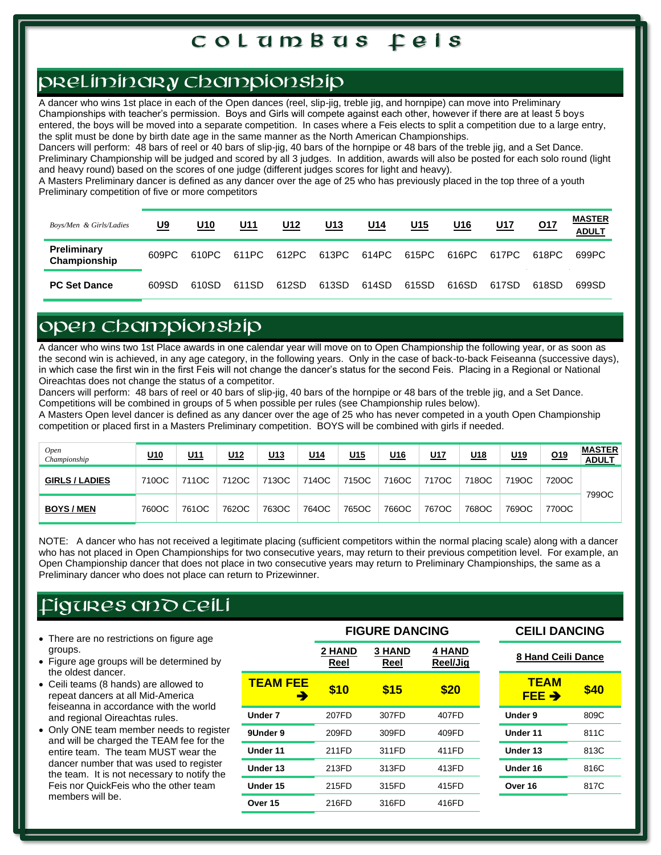# prel iminary championship

A dancer who wins 1st place in each of the Open dances (reel, slip-jig, treble jig, and hornpipe) can move into Preliminary Championships with teacher's permission. Boys and Girls will compete against each other, however if there are at least 5 boys entered, the boys will be moved into a separate competition. In cases where a Feis elects to split a competition due to a large entry, the split must be done by birth date age in the same manner as the North American Championships.

Dancers will perform: 48 bars of reel or 40 bars of slip-jig, 40 bars of the hornpipe or 48 bars of the treble jig, and a Set Dance. Preliminary Championship will be judged and scored by all 3 judges. In addition, awards will also be posted for each solo round (light and heavy round) based on the scores of one judge (different judges scores for light and heavy).

A Masters Preliminary dancer is defined as any dancer over the age of 25 who has previously placed in the top three of a youth Preliminary competition of five or more competitors

| Boys/Men & Girls/Ladies     | <u>U9</u> | U10   | <u>U11</u> | U12   | <u>U13</u> | <u>U14</u> | <u>U15</u> | U <sub>16</sub> | <u>U17</u> | 017   | <b>MASTER</b><br><b>ADULT</b> |
|-----------------------------|-----------|-------|------------|-------|------------|------------|------------|-----------------|------------|-------|-------------------------------|
| Preliminary<br>Championship | 609PC     | 610PC | 611PC      | 612PC | 613PC      | 614PC      | 615PC      | 616PC           | 617PC      | 618PC | 699PC                         |
| <b>PC Set Dance</b>         | 609SD     | 610SD | 611SD      | 612SD | 613SD      | 614SD      | 615SD      | 616SD           | 617SD      | 618SD | 699SD                         |

### OPEN CHAMPIONSHIP

A dancer who wins two 1st Place awards in one calendar year will move on to Open Championship the following year, or as soon as the second win is achieved, in any age category, in the following years. Only in the case of back-to-back Feiseanna (successive days), in which case the first win in the first Feis will not change the dancer's status for the second Feis. Placing in a Regional or National Oireachtas does not change the status of a competitor.

Dancers will perform: 48 bars of reel or 40 bars of slip-jig, 40 bars of the hornpipe or 48 bars of the treble jig, and a Set Dance. Competitions will be combined in groups of 5 when possible per rules (see Championship rules below).

A Masters Open level dancer is defined as any dancer over the age of 25 who has never competed in a youth Open Championship competition or placed first in a Masters Preliminary competition. BOYS will be combined with girls if needed.

| <b>Open</b><br>Championship | <u>U10</u> | <u>U11</u> | U12   | <u>U13</u> | <u>U14</u> | <u>U15</u> | <u>U<sub>16</sub></u> | U17   | <u>U18</u> | <u>U19</u> | <u>019</u> | <b>MASTER</b><br><b>ADULT</b> |
|-----------------------------|------------|------------|-------|------------|------------|------------|-----------------------|-------|------------|------------|------------|-------------------------------|
| <b>GIRLS / LADIES</b>       | 710OC      | 711OC      | 712OC | 713OC      | 714OC      | 715OC      | 716OC                 | 717OC | 718OC      | 719OC      | 720OC      |                               |
| <b>BOYS / MEN</b>           | 760OC      | 761OC      | 762OC | 763OC      | 764OC      | 765OC      | 766OC                 | 767OC | 768OC      | 769OC      | 770OC      | 799OC                         |

NOTE: A dancer who has not received a legitimate placing (sufficient competitors within the normal placing scale) along with a dancer who has not placed in Open Championships for two consecutive years, may return to their previous competition level. For example, an Open Championship dancer that does not place in two consecutive years may return to Preliminary Championships, the same as a Preliminary dancer who does not place can return to Prizewinner.

# FIGURES AND CEILI

- There are no restrictions on figure age groups.
- Figure age groups will be determined by the oldest dancer.
- Ceili teams (8 hands) are allowed to repeat dancers at all Mid-America feiseanna in accordance with the world and regional Oireachtas rules.
- Only ONE team member needs to register and will be charged the TEAM fee for the entire team. The team MUST wear the dancer number that was used to register the team. It is not necessary to notify the Feis nor QuickFeis who the other team members will be.

|                      |                       | FIGURE DANGING        |                           | UEILI DANUING             |      |
|----------------------|-----------------------|-----------------------|---------------------------|---------------------------|------|
|                      | <b>2 HAND</b><br>Reel | <b>3 HAND</b><br>Reel | <b>4 HAND</b><br>Reel/Jig | <b>8 Hand Ceili Dance</b> |      |
| <b>TEAM FEE</b><br>→ | \$10                  | \$15                  | \$20                      | <b>TEAM</b><br>FEE →      | \$40 |
| Under 7              | 207FD                 | 307FD                 | 407FD                     | Under 9                   | 809C |
| 9Under 9             | 209FD                 | 309FD                 | 409FD                     | Under 11                  | 811C |
| Under 11             | 211FD                 | 311FD                 | 411FD                     | Under 13                  | 813C |
| Under 13             | 213FD                 | 313FD                 | 413FD                     | Under 16                  | 816C |
| Under 15             | 215FD                 | 315FD                 | 415FD                     | Over 16                   | 817C |
| Over 15              | 216FD                 | 316FD                 | 416FD                     |                           |      |
|                      |                       |                       |                           |                           |      |

#### **FIGURE DANCING CEILI DANCING**

| TEAM<br>FEE → | \$40 |
|---------------|------|
| Under 9       | 809C |
| Under 11      | 811C |
| Under 13      | 813C |
| Under 16      | 816C |
| Over 16       | 817C |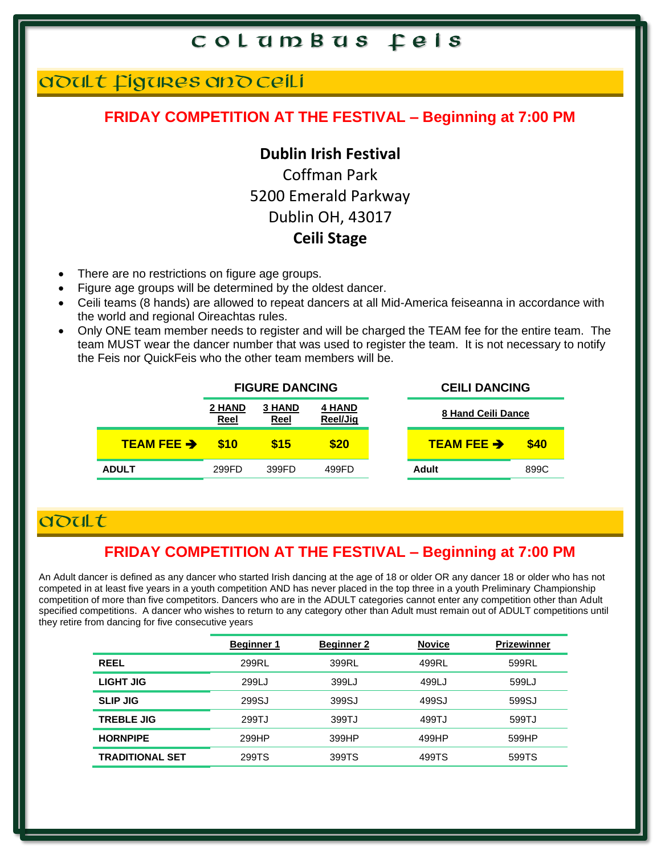## ADULT FIGURES AND CEILI

#### **FRIDAY COMPETITION AT THE FESTIVAL – Beginning at 7:00 PM**

#### **Dublin Irish Festival**

Coffman Park 5200 Emerald Parkway Dublin OH, 43017 **Ceili Stage**

- There are no restrictions on figure age groups.
- Figure age groups will be determined by the oldest dancer.
- Ceili teams (8 hands) are allowed to repeat dancers at all Mid-America feiseanna in accordance with the world and regional Oireachtas rules.
- Only ONE team member needs to register and will be charged the TEAM fee for the entire team. The team MUST wear the dancer number that was used to register the team. It is not necessary to notify the Feis nor QuickFeis who the other team members will be.

|                      |                       | <b>FIGURE DANCING</b> |                           | <b>CEILI DANCING</b>   |      |
|----------------------|-----------------------|-----------------------|---------------------------|------------------------|------|
|                      | 2 HAND<br><u>Reel</u> | <b>3 HAND</b><br>Reel | <b>4 HAND</b><br>Reel/Jig | 8 Hand Ceili Dance     |      |
| <b>TEAM FEE &gt;</b> | \$10                  | \$15                  | \$20                      | TEAM FEE $\rightarrow$ | \$40 |
| <b>ADULT</b>         | 299FD                 | 399FD                 | 499FD                     | Adult                  | 899C |

### adult

#### **FRIDAY COMPETITION AT THE FESTIVAL – Beginning at 7:00 PM**

An Adult dancer is defined as any dancer who started Irish dancing at the age of 18 or older OR any dancer 18 or older who has not competed in at least five years in a youth competition AND has never placed in the top three in a youth Preliminary Championship competition of more than five competitors. Dancers who are in the ADULT categories cannot enter any competition other than Adult specified competitions. A dancer who wishes to return to any category other than Adult must remain out of ADULT competitions until they retire from dancing for five consecutive years

|                        | <b>Beginner 1</b> | <b>Beginner 2</b> | <b>Novice</b> | <b>Prizewinner</b> |
|------------------------|-------------------|-------------------|---------------|--------------------|
| <b>REEL</b>            | 299RL             | 399RL             | 499RL         | 599RL              |
| LIGHT JIG              | 299LJ             | 399LJ             | 499LJ         | 599LJ              |
| <b>SLIP JIG</b>        | 299SJ             | 399SJ             | 499SJ         | 599SJ              |
| <b>TREBLE JIG</b>      | 299TJ             | 399TJ             | 499TJ         | 599TJ              |
| <b>HORNPIPE</b>        | 299HP             | 399HP             | 499HP         | 599HP              |
| <b>TRADITIONAL SET</b> | 299TS             | 399TS             | 499TS         | 599TS              |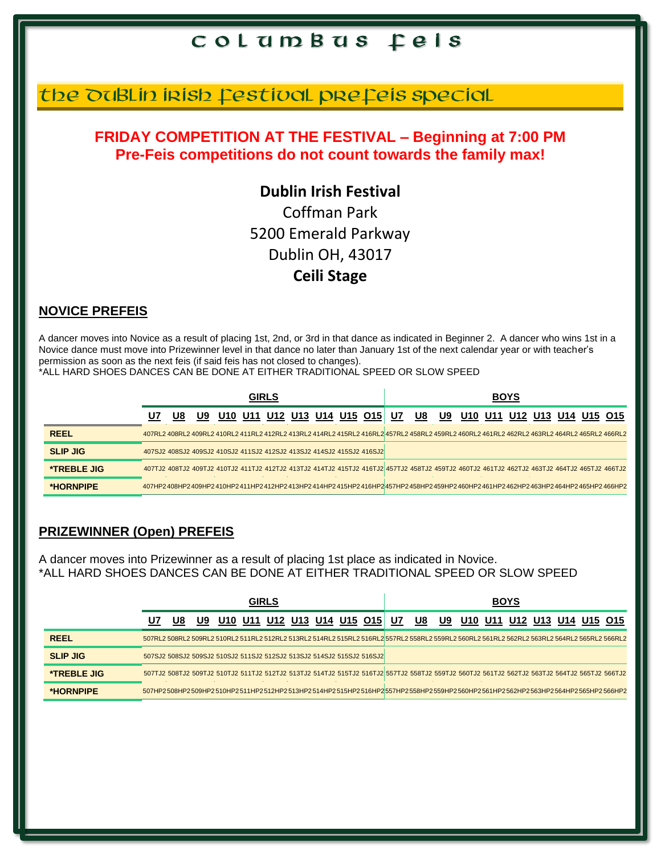# the DuBLIn Irish Festival prefeis special

#### **FRIDAY COMPETITION AT THE FESTIVAL – Beginning at 7:00 PM Pre-Feis competitions do not count towards the family max!**

## **Dublin Irish Festival** Coffman Park 5200 Emerald Parkway Dublin OH, 43017 **Ceili Stage**

#### **NOVICE PREFEIS**

A dancer moves into Novice as a result of placing 1st, 2nd, or 3rd in that dance as indicated in Beginner 2. A dancer who wins 1st in a Novice dance must move into Prizewinner level in that dance no later than January 1st of the next calendar year or with teacher's permission as soon as the next feis (if said feis has not closed to changes).

\*ALL HARD SHOES DANCES CAN BE DONE AT EITHER TRADITIONAL SPEED OR SLOW SPEED

|                    | GIRLS |    |     |                                                                                                                                             |  |                                |  |  | <b>BOYS</b> |  |    |     |  |  |  |  |                             |                                                                                                                                                                                                                                |
|--------------------|-------|----|-----|---------------------------------------------------------------------------------------------------------------------------------------------|--|--------------------------------|--|--|-------------|--|----|-----|--|--|--|--|-----------------------------|--------------------------------------------------------------------------------------------------------------------------------------------------------------------------------------------------------------------------------|
|                    | U7    | U8 | U9. |                                                                                                                                             |  | U10 U11 U12 U13 U14 U15 O15 U7 |  |  |             |  | U8 | U9. |  |  |  |  | U10 U11 U12 U13 U14 U15 O15 |                                                                                                                                                                                                                                |
| <b>REEL</b>        |       |    |     | 465RL2 464RL2 409RL2 410RL2 411RL2 412RL2 413RL2 414RL2 415RL2 416RL2 457RL2 458RL2 459RL2 460RL2 461RL2 462RL2 463RL2 464RL2 465RL2 466RL2 |  |                                |  |  |             |  |    |     |  |  |  |  |                             |                                                                                                                                                                                                                                |
| <b>SLIP JIG</b>    |       |    |     | 407SJ2 408SJ2 409SJ2 410SJ2 411SJ2 412SJ2 413SJ2 414SJ2 415SJ2 416SJ2                                                                       |  |                                |  |  |             |  |    |     |  |  |  |  |                             |                                                                                                                                                                                                                                |
| <b>*TREBLE JIG</b> |       |    |     |                                                                                                                                             |  |                                |  |  |             |  |    |     |  |  |  |  |                             | 466TJ2 463TJ2 408TJ2 409TJ2 410TJ2 411TJ2 412TJ2 413TJ2 414TJ2 415TJ2 416TJ2 457TJ2 458TJ2 458TJ2 460TJ2 461TJ2 462TJ2 463TJ2 464TJ2 465TJ2 466TJ2 466TJ2 466TJ2 464TJ2 466TJ2 466TJ2 469TJ2 469TJ2 464TJ2 466TJ2 466TJ2 469TJ |
| *HORNPIPE          |       |    |     |                                                                                                                                             |  |                                |  |  |             |  |    |     |  |  |  |  |                             | 407HP2408HP2409HP2410HP2411HP2412HP2413HP2414HP2415HP2416HP2457HP2458HP2459HP2460HP2461HP2462HP2463HP2464HP2465HP2466HP2                                                                                                       |

#### **PRIZEWINNER (Open) PREFEIS**

A dancer moves into Prizewinner as a result of placing 1st place as indicated in Novice. \*ALL HARD SHOES DANCES CAN BE DONE AT EITHER TRADITIONAL SPEED OR SLOW SPEED

|                    | <b>GIRLS</b> |    |    |                                                                       |     |  |  |  |                     | <b>BOYS</b> |    |    |    |     |  |  |             |             |                                                                                                                                                                                                                                |
|--------------------|--------------|----|----|-----------------------------------------------------------------------|-----|--|--|--|---------------------|-------------|----|----|----|-----|--|--|-------------|-------------|--------------------------------------------------------------------------------------------------------------------------------------------------------------------------------------------------------------------------------|
|                    | U7           | U8 | U9 | U10                                                                   | U11 |  |  |  | U12 U13 U14 U15 O15 |             | U7 | U8 | U9 | U10 |  |  | U11 U12 U13 | U14 U15 O15 |                                                                                                                                                                                                                                |
| <b>REEL</b>        |              |    |    |                                                                       |     |  |  |  |                     |             |    |    |    |     |  |  |             |             | 507RL2 508RL2 509RL2 510RL2 511RL2 512RL2 513RL2 514RL2 515RL2 516RL2 557RL2 558RL2 559RL2 560RL2 561RL2 562RL2 563RL2 564RL2 565RL2 566RL2                                                                                    |
| <b>SLIP JIG</b>    |              |    |    | 507SJ2 508SJ2 509SJ2 510SJ2 511SJ2 512SJ2 513SJ2 514SJ2 515SJ2 516SJ2 |     |  |  |  |                     |             |    |    |    |     |  |  |             |             |                                                                                                                                                                                                                                |
| <b>*TREBLE JIG</b> |              |    |    |                                                                       |     |  |  |  |                     |             |    |    |    |     |  |  |             |             | 50651, 50671, 5071, 50871, 50871, 50871, 50871, 50871, 50871, 50871, 50871, 50871, 50871, 50871, 50871, 50871, 50871, 50871, 50871, 50871, 50871, 50871, 50871, 50871, 50871, 50871, 50871, 50871, 50871, 50871, 50871, 50871, |
| *HORNPIPE          |              |    |    |                                                                       |     |  |  |  |                     |             |    |    |    |     |  |  |             |             | 507HP2508HP2509HP2510HP2511HP2512HP2513HP2514HP2515HP2516HP2557HP2558HP2559HP2560HP2560HP2562HP2563HP2563HP2564HP2                                                                                                             |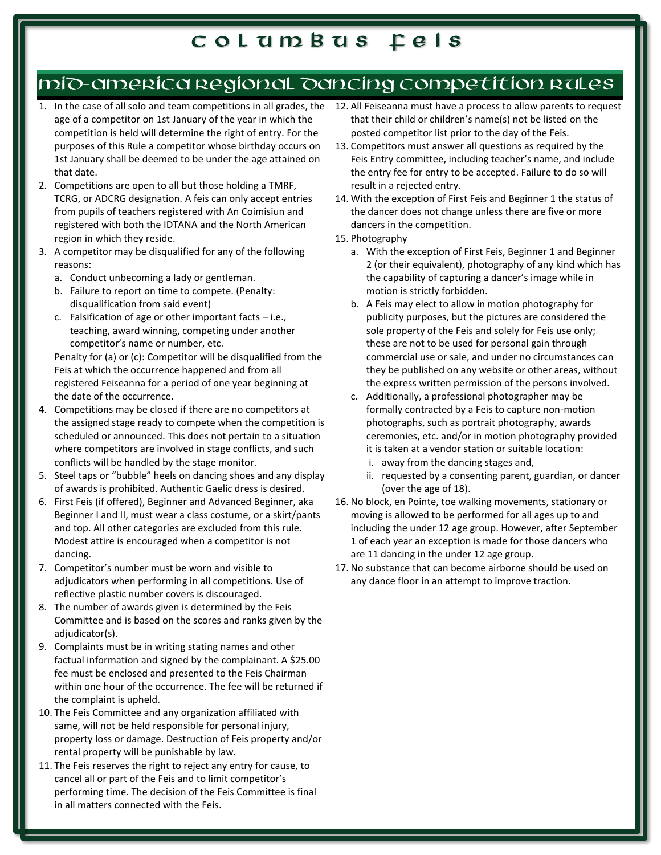# MID-AMERICA REGIONAL DANCING COMPETITION RULES

- age of a competitor on 1st January of the year in which the competition is held will determine the right of entry. For the purposes of this Rule a competitor whose birthday occurs on 1st January shall be deemed to be under the age attained on that date.
- 2. Competitions are open to all but those holding a TMRF, TCRG, or ADCRG designation. A feis can only accept entries from pupils of teachers registered with An Coimisiun and registered with both the IDTANA and the North American region in which they reside.
- 3. A competitor may be disqualified for any of the following reasons:
	- a. Conduct unbecoming a lady or gentleman.
	- b. Failure to report on time to compete. (Penalty: disqualification from said event)
	- c. Falsification of age or other important facts i.e., teaching, award winning, competing under another competitor's name or number, etc.

Penalty for (a) or (c): Competitor will be disqualified from the Feis at which the occurrence happened and from all registered Feiseanna for a period of one year beginning at the date of the occurrence.

- 4. Competitions may be closed if there are no competitors at the assigned stage ready to compete when the competition is scheduled or announced. This does not pertain to a situation where competitors are involved in stage conflicts, and such conflicts will be handled by the stage monitor.
- 5. Steel taps or "bubble" heels on dancing shoes and any display of awards is prohibited. Authentic Gaelic dress is desired.
- 6. First Feis (if offered), Beginner and Advanced Beginner, aka Beginner I and II, must wear a class costume, or a skirt/pants and top. All other categories are excluded from this rule. Modest attire is encouraged when a competitor is not dancing.
- 7. Competitor's number must be worn and visible to adjudicators when performing in all competitions. Use of reflective plastic number covers is discouraged.
- 8. The number of awards given is determined by the Feis Committee and is based on the scores and ranks given by the adjudicator(s).
- 9. Complaints must be in writing stating names and other factual information and signed by the complainant. A \$25.00 fee must be enclosed and presented to the Feis Chairman within one hour of the occurrence. The fee will be returned if the complaint is upheld.
- 10. The Feis Committee and any organization affiliated with same, will not be held responsible for personal injury, property loss or damage. Destruction of Feis property and/or rental property will be punishable by law.
- 11. The Feis reserves the right to reject any entry for cause, to cancel all or part of the Feis and to limit competitor's performing time. The decision of the Feis Committee is final in all matters connected with the Feis.
- 1. In the case of all solo and team competitions in all grades, the 12. All Feiseanna must have a process to allow parents to request that their child or children's name(s) not be listed on the posted competitor list prior to the day of the Feis.
	- 13. Competitors must answer all questions as required by the Feis Entry committee, including teacher's name, and include the entry fee for entry to be accepted. Failure to do so will result in a rejected entry.
	- 14. With the exception of First Feis and Beginner 1 the status of the dancer does not change unless there are five or more dancers in the competition.
	- 15. Photography
		- a. With the exception of First Feis, Beginner 1 and Beginner 2 (or their equivalent), photography of any kind which has the capability of capturing a dancer's image while in motion is strictly forbidden.
		- b. A Feis may elect to allow in motion photography for publicity purposes, but the pictures are considered the sole property of the Feis and solely for Feis use only; these are not to be used for personal gain through commercial use or sale, and under no circumstances can they be published on any website or other areas, without the express written permission of the persons involved.
		- c. Additionally, a professional photographer may be formally contracted by a Feis to capture non-motion photographs, such as portrait photography, awards ceremonies, etc. and/or in motion photography provided it is taken at a vendor station or suitable location:
			- i. away from the dancing stages and,
			- ii. requested by a consenting parent, guardian, or dancer (over the age of 18).
	- 16. No block, en Pointe, toe walking movements, stationary or moving is allowed to be performed for all ages up to and including the under 12 age group. However, after September 1 of each year an exception is made for those dancers who are 11 dancing in the under 12 age group.
	- 17. No substance that can become airborne should be used on any dance floor in an attempt to improve traction.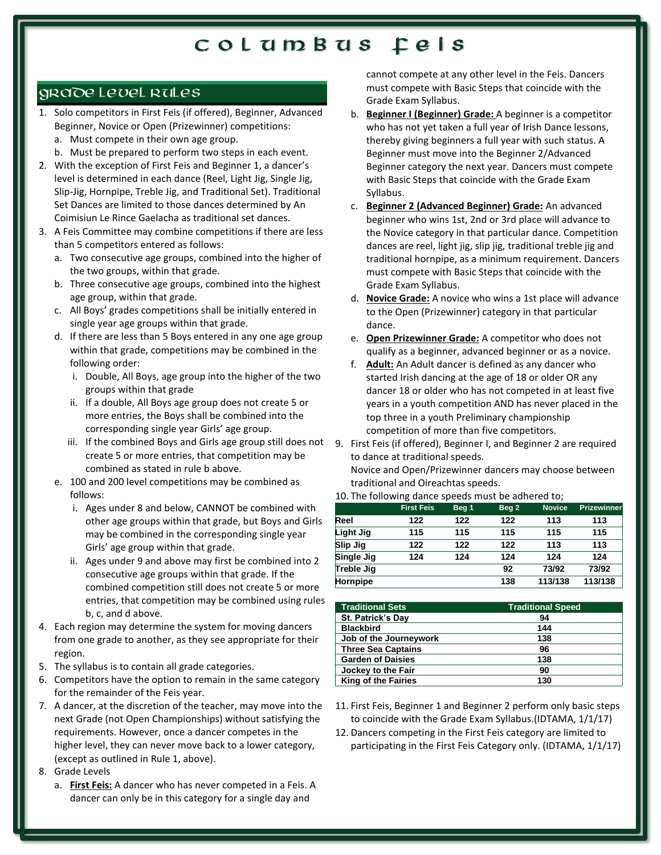#### GRADE LEVEL RULES

- 1. Solo competitors in First Feis (if offered), Beginner, Advanced Beginner, Novice or Open (Prizewinner) competitions: a. Must compete in their own age group.
	- b. Must be prepared to perform two steps in each event.
- 2. With the exception of First Feis and Beginner 1, a dancer's level is determined in each dance (Reel, Light Jig, Single Jig, Slip-Jig, Hornpipe, Treble Jig, and Traditional Set). Traditional Set Dances are limited to those dances determined by An Coimisiun Le Rince Gaelacha as traditional set dances.
- 3. A Feis Committee may combine competitions if there are less than 5 competitors entered as follows:
	- a. Two consecutive age groups, combined into the higher of the two groups, within that grade.
	- b. Three consecutive age groups, combined into the highest age group, within that grade.
	- c. All Boys' grades competitions shall be initially entered in single year age groups within that grade.
	- d. If there are less than 5 Boys entered in any one age group within that grade, competitions may be combined in the following order:
		- i. Double, All Boys, age group into the higher of the two groups within that grade
		- ii. If a double, All Boys age group does not create 5 or more entries, the Boys shall be combined into the corresponding single year Girls' age group.
		- iii. If the combined Boys and Girls age group still does not create 5 or more entries, that competition may be combined as stated in rule b above.
	- e. 100 and 200 level competitions may be combined as follows:
		- i. Ages under 8 and below, CANNOT be combined with other age groups within that grade, but Boys and Girls may be combined in the corresponding single year Girls' age group within that grade.
		- ii. Ages under 9 and above may first be combined into 2 consecutive age groups within that grade. If the combined competition still does not create 5 or more entries, that competition may be combined using rules b, c, and d above.
- 4. Each region may determine the system for moving dancers from one grade to another, as they see appropriate for their region.
- 5. The syllabus is to contain all grade categories.
- 6. Competitors have the option to remain in the same category for the remainder of the Feis year.
- 7. A dancer, at the discretion of the teacher, may move into the next Grade (not Open Championships) without satisfying the requirements. However, once a dancer competes in the higher level, they can never move back to a lower category, (except as outlined in Rule 1, above).
- 8. Grade Levels
	- a. **First Feis:** A dancer who has never competed in a Feis. A dancer can only be in this category for a single day and

cannot compete at any other level in the Feis. Dancers must compete with Basic Steps that coincide with the Grade Exam Syllabus.

- b. **Beginner I (Beginner) Grade:** A beginner is a competitor who has not yet taken a full year of Irish Dance lessons, thereby giving beginners a full year with such status. A Beginner must move into the Beginner 2/Advanced Beginner category the next year. Dancers must compete with Basic Steps that coincide with the Grade Exam Syllabus.
- c. **Beginner 2 (Advanced Beginner) Grade:** An advanced beginner who wins 1st, 2nd or 3rd place will advance to the Novice category in that particular dance. Competition dances are reel, light jig, slip jig, traditional treble jig and traditional hornpipe, as a minimum requirement. Dancers must compete with Basic Steps that coincide with the Grade Exam Syllabus.
- d. **Novice Grade:** A novice who wins a 1st place will advance to the Open (Prizewinner) category in that particular dance.
- e. **Open Prizewinner Grade:** A competitor who does not qualify as a beginner, advanced beginner or as a novice.
- f. **Adult:** An Adult dancer is defined as any dancer who started Irish dancing at the age of 18 or older OR any dancer 18 or older who has not competed in at least five years in a youth competition AND has never placed in the top three in a youth Preliminary championship competition of more than five competitors.
- 9. First Feis (if offered), Beginner I, and Beginner 2 are required to dance at traditional speeds. Novice and Open/Prizewinner dancers may choose between traditional and Oireachtas speeds.
- 10. The following dance speeds must be adhered to;

|                   | <b>First Feis</b> | Beg <sub>1</sub> | Beg <sub>2</sub> | <b>Novice</b> | <b>Prizewinner</b> |
|-------------------|-------------------|------------------|------------------|---------------|--------------------|
| Reel              | 122               | 122              | 122              | 113           | 113                |
| Light Jig         | 115               | 115              | 115              | 115           | 115                |
| <b>Slip Jig</b>   | 122               | 122              | 122              | 113           | 113                |
| <b>Single Jig</b> | 124               | 124              | 124              | 124           | 124                |
| Treble Jig        |                   |                  | 92               | 73/92         | 73/92              |
| <b>Hornpipe</b>   |                   |                  | 138              | 113/138       | 113/138            |

| <b>Traditional Sets</b>    | <b>Traditional Speed</b> |
|----------------------------|--------------------------|
| St. Patrick's Day          | 94                       |
| <b>Blackbird</b>           | 144                      |
| Job of the Journeywork     | 138                      |
| <b>Three Sea Captains</b>  | 96                       |
| <b>Garden of Daisies</b>   | 138                      |
| Jockey to the Fair         | 90                       |
| <b>King of the Fairies</b> | 130                      |

- 11. First Feis, Beginner 1 and Beginner 2 perform only basic steps to coincide with the Grade Exam Syllabus.(IDTAMA, 1/1/17)
- 12. Dancers competing in the First Feis category are limited to participating in the First Feis Category only. (IDTAMA, 1/1/17)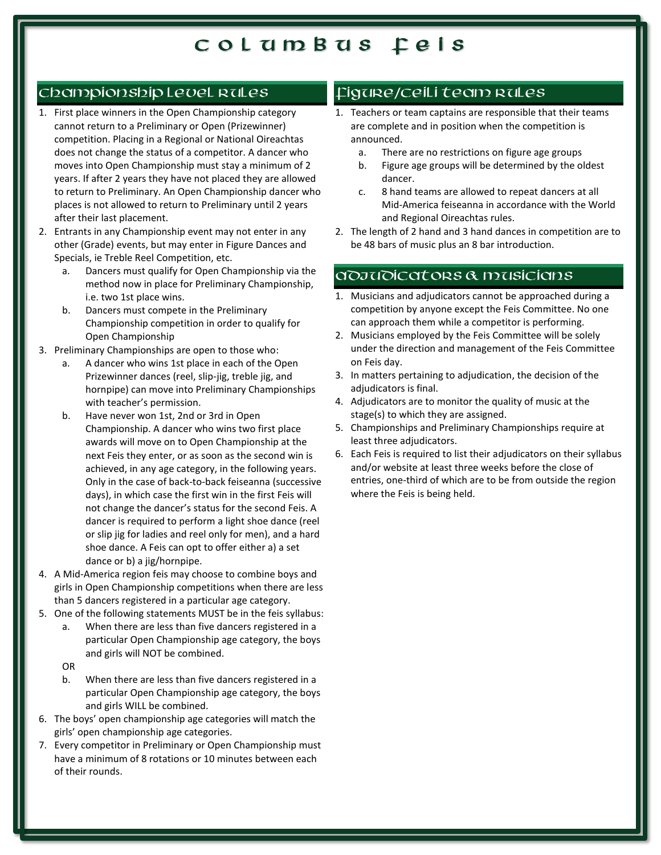#### Championship Level Rules

- 1. First place winners in the Open Championship category cannot return to a Preliminary or Open (Prizewinner) competition. Placing in a Regional or National Oireachtas does not change the status of a competitor. A dancer who moves into Open Championship must stay a minimum of 2 years. If after 2 years they have not placed they are allowed to return to Preliminary. An Open Championship dancer who places is not allowed to return to Preliminary until 2 years after their last placement.
- 2. Entrants in any Championship event may not enter in any other (Grade) events, but may enter in Figure Dances and Specials, ie Treble Reel Competition, etc.
	- a. Dancers must qualify for Open Championship via the method now in place for Preliminary Championship, i.e. two 1st place wins.
	- b. Dancers must compete in the Preliminary Championship competition in order to qualify for Open Championship
- 3. Preliminary Championships are open to those who:
	- a. A dancer who wins 1st place in each of the Open Prizewinner dances (reel, slip-jig, treble jig, and hornpipe) can move into Preliminary Championships with teacher's permission.
	- b. Have never won 1st, 2nd or 3rd in Open Championship. A dancer who wins two first place awards will move on to Open Championship at the next Feis they enter, or as soon as the second win is achieved, in any age category, in the following years. Only in the case of back-to-back feiseanna (successive days), in which case the first win in the first Feis will not change the dancer's status for the second Feis. A dancer is required to perform a light shoe dance (reel or slip jig for ladies and reel only for men), and a hard shoe dance. A Feis can opt to offer either a) a set dance or b) a jig/hornpipe.
- 4. A Mid-America region feis may choose to combine boys and girls in Open Championship competitions when there are less than 5 dancers registered in a particular age category.
- 5. One of the following statements MUST be in the feis syllabus:
	- a. When there are less than five dancers registered in a particular Open Championship age category, the boys and girls will NOT be combined.
	- OR
	- b. When there are less than five dancers registered in a particular Open Championship age category, the boys and girls WILL be combined.
- 6. The boys' open championship age categories will match the girls' open championship age categories.
- 7. Every competitor in Preliminary or Open Championship must have a minimum of 8 rotations or 10 minutes between each of their rounds.

#### FIGURE/CEILI TEAM RULES

- 1. Teachers or team captains are responsible that their teams are complete and in position when the competition is announced.
	- a. There are no restrictions on figure age groups
	- b. Figure age groups will be determined by the oldest dancer.
	- c. 8 hand teams are allowed to repeat dancers at all Mid-America feiseanna in accordance with the World and Regional Oireachtas rules.
- 2. The length of 2 hand and 3 hand dances in competition are to be 48 bars of music plus an 8 bar introduction.

#### ADJUDICATORS & MUSICIANS

- 1. Musicians and adjudicators cannot be approached during a competition by anyone except the Feis Committee. No one can approach them while a competitor is performing.
- 2. Musicians employed by the Feis Committee will be solely under the direction and management of the Feis Committee on Feis day.
- 3. In matters pertaining to adjudication, the decision of the adjudicators is final.
- 4. Adjudicators are to monitor the quality of music at the stage(s) to which they are assigned.
- 5. Championships and Preliminary Championships require at least three adjudicators.
- 6. Each Feis is required to list their adjudicators on their syllabus and/or website at least three weeks before the close of entries, one-third of which are to be from outside the region where the Feis is being held.